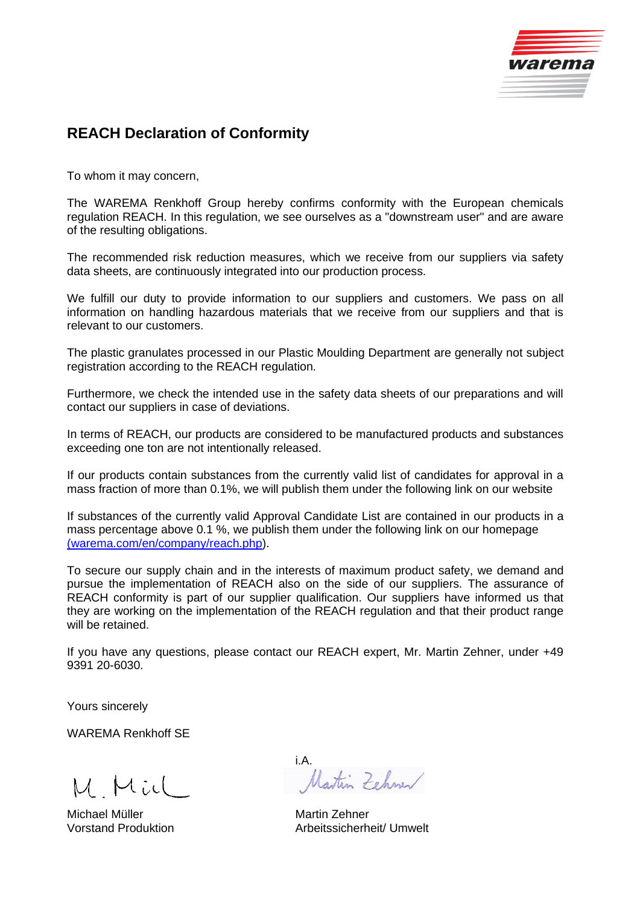

## **REACH Declaration of Conformity**

To whom it may concern,

The WAREMA Renkhoff Group hereby confirms conformity with the European chemicals regulation REACH. In this regulation, we see ourselves as a "downstream user" and are aware of the resulting obligations.

The recommended risk reduction measures, which we receive from our suppliers via safety data sheets, are continuously integrated into our production process.

We fulfill our duty to provide information to our suppliers and customers. We pass on all information on handling hazardous materials that we receive from our suppliers and that is relevant to our customers.

The plastic granulates processed in our Plastic Moulding Department are generally not subject registration according to the REACH regulation.

Furthermore, we check the intended use in the safety data sheets of our preparations and will contact our suppliers in case of deviations.

In terms of REACH, our products are considered to be manufactured products and substances exceeding one ton are not intentionally released.

If our products contain substances from the currently valid list of candidates for approval in a mass fraction of more than 0.1%, we will publish them under the following link on our website

If substances of the currently valid Approval Candidate List are contained in our products in a mass percentage above 0.1 %, we publish them under the following link on our homepage [\(warema.com/en/company/reach.php\)](https://warema.com/en/company/reach.php).

To secure our supply chain and in the interests of maximum product safety, we demand and pursue the implementation of REACH also on the side of our suppliers. The assurance of REACH conformity is part of our supplier qualification. Our suppliers have informed us that they are working on the implementation of the REACH regulation and that their product range will be retained.

If you have any questions, please contact our REACH expert, Mr. Martin Zehner, under +49 9391 20-6030.

Yours sincerely

WAREMA Renkhoff SE

M Mid

Michael Müller Martin Zehner

i.A.<br>Martin Zehmen

Vorstand Produktion **Arbeitssicherheit/ Umwelt**